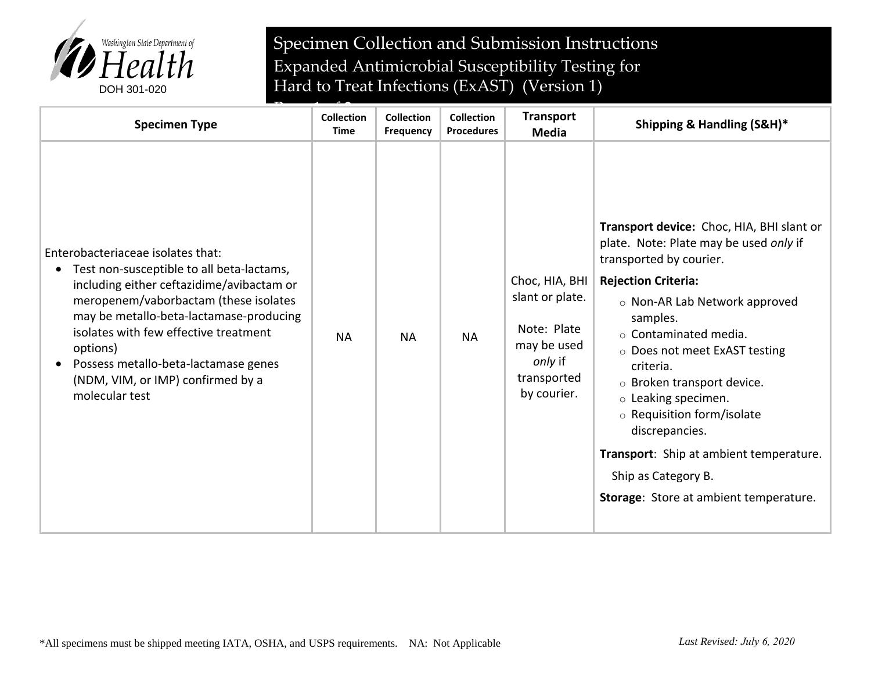

Specimen Collection and Submission Instructions Expanded Antimicrobial Susceptibility Testing for Hard to Treat Infections (ExAST) (Version 1)

| <b>Specimen Type</b>                                                                                                                                                                                                                                                                                                                                                | <b>Collection</b><br>Time | <b>Collection</b><br><b>Frequency</b> | <b>Collection</b><br><b>Procedures</b> | <b>Transport</b><br><b>Media</b>                                                                         | Shipping & Handling (S&H)*                                                                                                                                                                                                                                                                                                                                                                                                                                                                          |
|---------------------------------------------------------------------------------------------------------------------------------------------------------------------------------------------------------------------------------------------------------------------------------------------------------------------------------------------------------------------|---------------------------|---------------------------------------|----------------------------------------|----------------------------------------------------------------------------------------------------------|-----------------------------------------------------------------------------------------------------------------------------------------------------------------------------------------------------------------------------------------------------------------------------------------------------------------------------------------------------------------------------------------------------------------------------------------------------------------------------------------------------|
| Enterobacteriaceae isolates that:<br>Test non-susceptible to all beta-lactams,<br>including either ceftazidime/avibactam or<br>meropenem/vaborbactam (these isolates<br>may be metallo-beta-lactamase-producing<br>isolates with few effective treatment<br>options)<br>Possess metallo-beta-lactamase genes<br>(NDM, VIM, or IMP) confirmed by a<br>molecular test | <b>NA</b>                 | <b>NA</b>                             | <b>NA</b>                              | Choc, HIA, BHI<br>slant or plate.<br>Note: Plate<br>may be used<br>only if<br>transported<br>by courier. | Transport device: Choc, HIA, BHI slant or<br>plate. Note: Plate may be used only if<br>transported by courier.<br><b>Rejection Criteria:</b><br>$\circ$ Non-AR Lab Network approved<br>samples.<br>$\circ$ Contaminated media.<br>○ Does not meet ExAST testing<br>criteria.<br>o Broken transport device.<br>$\circ$ Leaking specimen.<br>○ Requisition form/isolate<br>discrepancies.<br>Transport: Ship at ambient temperature.<br>Ship as Category B.<br>Storage: Store at ambient temperature. |